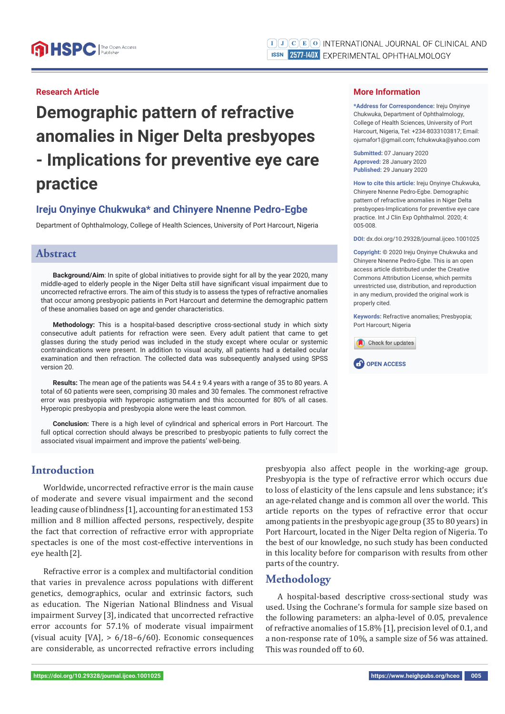### **Research Article**

**Demographic pattern of refractive anomalies in Niger Delta presbyopes - Implications for preventive eye care practice**

# **Ireju Onyinye Chukwuka\* and Chinyere Nnenne Pedro-Egbe**

Department of Ophthalmology, College of Health Sciences, University of Port Harcourt, Nigeria

#### **Abstract**

**Background/Aim**: In spite of global initiatives to provide sight for all by the year 2020, many middle-aged to elderly people in the Niger Delta still have significant visual impairment due to uncorrected refractive errors. The aim of this study is to assess the types of refractive anomalies that occur among presbyopic patients in Port Harcourt and determine the demographic pattern of these anomalies based on age and gender characteristics.

**Methodology:** This is a hospital-based descriptive cross-sectional study in which sixty consecutive adult patients for refraction were seen. Every adult patient that came to get glasses during the study period was included in the study except where ocular or systemic contraindications were present. In addition to visual acuity, all patients had a detailed ocular examination and then refraction. The collected data was subsequently analysed using SPSS version 20.

**Results:** The mean age of the patients was 54.4 ± 9.4 years with a range of 35 to 80 years. A total of 60 patients were seen, comprising 30 males and 30 females. The commonest refractive error was presbyopia with hyperopic astigmatism and this accounted for 80% of all cases. Hyperopic presbyopia and presbyopia alone were the least common.

**Conclusion:** There is a high level of cylindrical and spherical errors in Port Harcourt. The full optical correction should always be prescribed to presbyopic patients to fully correct the associated visual impairment and improve the patients' well-being.

# **Introduction**

Worldwide, uncorrected refractive error is the main cause of moderate and severe visual impairment and the second leading cause of blindness [1], accounting for an estimated 153 million and 8 million affected persons, respectively, despite the fact that correction of refractive error with appropriate spectacles is one of the most cost-effective interventions in eye health[2].

Refractive error is a complex and multifactorial condition that varies in prevalence across populations with different genetics, demographics, ocular and extrinsic factors, such as education. The Nigerian National Blindness and Visual impairment Survey [3], indicated that uncorrected refractive error accounts for 57.1% of moderate visual impairment (visual acuity [VA], > 6/18–6/60). Economic consequences are considerable, as uncorrected refractive errors including

presbyopia also affect people in the working-age group. Presbyopia is the type of refractive error which occurs due to loss of elasticity of the lens capsule and lens substance; it's an age-related change and is common all over the world. This article reports on the types of refractive error that occur among patients in the presbyopic age group (35 to 80 years) in Port Harcourt, located in the Niger Delta region of Nigeria. To the best of our knowledge, no such study has been conducted in this locality before for comparison with results from other parts of the country.

## **Methodology**

A hospital-based descriptive cross-sectional study was used. Using the Cochrane's formula for sample size based on the following parameters: an alpha-level of 0.05, prevalence of refractive anomalies of 15.8% [1], precision level of 0.1, and a non-response rate of 10%, a sample size of 56 was attained. This was rounded off to 60.



Port Harcourt; Nigeria

Check for updates

**More Information** 

**\*Address for Correspondence:** Ireju Onyinye Chukwuka, Department of Ophthalmology, College of Health Sciences, University of Port Harcourt, Nigeria, Tel: +234-8033103817; Email: ojumafor1@gmail.com; fchukwuka@yahoo.com

**Submitted:** 07 January 2020 **Approved:** 28 January 2020 **Published:** 29 January 2020

**How to cite this article:** Ireju Onyinye Chukwuka, Chinyere Nnenne Pedro-Egbe. Demographic pattern of refractive anomalies in Niger Delta presbyopes-Implications for preventive eye care practice. Int J Clin Exp Ophthalmol. 2020; 4: 005-008.

**DOI:** dx.doi.org/10.29328/journal.ijceo.1001025

**Copyright: ©** 2020 Ireju Onyinye Chukwuka and Chinyere Nnenne Pedro-Egbe. This is an open access article distributed under the Creative Commons Attribution License, which permits unrestricted use, distribution, and reproduction in any medium, provided the original work is properly cited.

**Keywords:** Refractive anomalies; Presbyopia;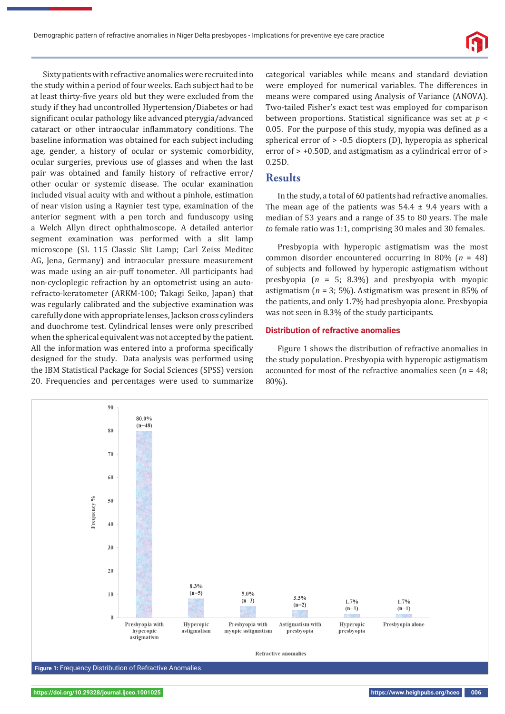Sixty patients with refractive anomalies were recruited into the study within a period of four weeks. Each subject had to be at least thirty-five years old but they were excluded from the study if they had uncontrolled Hypertension/Diabetes or had significant ocular pathology like advanced pterygia/advanced cataract or other intraocular inflammatory conditions. The baseline information was obtained for each subject including age, gender, a history of ocular or systemic comorbidity, ocular surgeries, previous use of glasses and when the last pair was obtained and family history of refractive error/ other ocular or systemic disease. The ocular examination included visual acuity with and without a pinhole, estimation of near vision using a Raynier test type, examination of the anterior segment with a pen torch and funduscopy using a Welch Allyn direct ophthalmoscope. A detailed anterior segment examination was performed with a slit lamp microscope (SL 115 Classic Slit Lamp; Carl Zeiss Meditec AG, Jena, Germany) and intraocular pressure measurement was made using an air-puff tonometer. All participants had non-cycloplegic refraction by an optometrist using an autorefracto-keratometer (ARKM-100; Takagi Seiko, Japan) that was regularly calibrated and the subjective examination was carefully done with appropriate lenses, Jackson cross cylinders and duochrome test. Cylindrical lenses were only prescribed when the spherical equivalent was not accepted by the patient. All the information was entered into a proforma specifically designed for the study. Data analysis was performed using the IBM Statistical Package for Social Sciences (SPSS) version 20. Frequencies and percentages were used to summarize categorical variables while means and standard deviation were employed for numerical variables. The differences in means were compared using Analysis of Variance (ANOVA). Two-tailed Fisher's exact test was employed for comparison between proportions. Statistical significance was set at *p* < 0.05. For the purpose of this study, myopia was defined as a spherical error of > -0.5 diopters (D), hyperopia as spherical error of > +0.50D, and astigmatism as a cylindrical error of > 0.25D.

### **Results**

In the study, a total of 60 patients had refractive anomalies. The mean age of the patients was  $54.4 \pm 9.4$  years with a median of 53 years and a range of 35 to 80 years. The male *to* female ratio was 1:1, comprising 30 males and 30 females.

Presbyopia with hyperopic astigmatism was the most common disorder encountered occurring in 80% (*n* = 48) of subjects and followed by hyperopic astigmatism without presbyopia (*n* = 5; 8.3%) and presbyopia with myopic astigmatism (*n* = 3; 5%). Astigmatism was present in 85% of the patients, and only 1.7% had presbyopia alone. Presbyopia was not seen in 8.3% of the study participants.

#### **Distribution of refractive anomalies**

Figure 1 shows the distribution of refractive anomalies in the study population. Presbyopia with hyperopic astigmatism accounted for most of the refractive anomalies seen (*n* = 48; 80%).

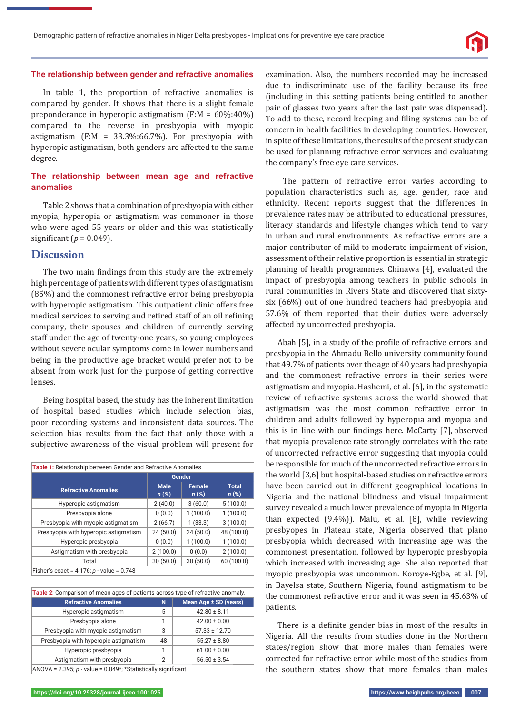#### **The relationship between gender and refractive anomalies**

In table 1, the proportion of refractive anomalies is compared by gender. It shows that there is a slight female preponderance in hyperopic astigmatism (F:M = 60%:40%) compared to the reverse in presbyopia with myopic astigmatism (F:M =  $33.3\%$ :66.7%). For presbyopia with hyperopic astigmatism, both genders are affected to the same degree.

#### **The relationship between mean age and refractive anomalies**

Table 2 shows that a combination of presbyopia with either myopia, hyperopia or astigmatism was commoner in those who were aged 55 years or older and this was statistically significant ( $p = 0.049$ ).

# **Discussion**

The two main findings from this study are the extremely high percentage of patients with different types of astigmatism (85%) and the commonest refractive error being presbyopia with hyperopic astigmatism. This outpatient clinic offers free medical services to serving and retired staff of an oil refining company, their spouses and children of currently serving staff under the age of twenty-one years, so young employees without severe ocular symptoms come in lower numbers and being in the productive age bracket would prefer not to be absent from work just for the purpose of getting corrective lenses.

Being hospital based, the study has the inherent limitation of hospital based studies which include selection bias, poor recording systems and inconsistent data sources. The selection bias results from the fact that only those with a subjective awareness of the visual problem will present for

| Table 1: Relationship between Gender and Refractive Anomalies. |                        |                          |                         |  |
|----------------------------------------------------------------|------------------------|--------------------------|-------------------------|--|
|                                                                | Gender                 |                          |                         |  |
| <b>Refractive Anomalies</b>                                    | <b>Male</b><br>$n$ (%) | <b>Female</b><br>$n$ (%) | <b>Total</b><br>$n$ (%) |  |
| Hyperopic astigmatism                                          | 2(40.0)                | 3(60.0)                  | 5(100.0)                |  |
| Presbyopia alone                                               | 0(0.0)                 | 1(100.0)                 | 1(100.0)                |  |
| Presbyopia with myopic astigmatism                             | 2(66.7)                | 1(33.3)                  | 3(100.0)                |  |
| Presbyopia with hyperopic astigmatism                          | 24(50.0)               | 24(50.0)                 | 48 (100.0)              |  |
| Hyperopic presbyopia                                           | 0(0.0)                 | 1(100.0)                 | 1(100.0)                |  |
| Astigmatism with presbyopia                                    | 2(100.0)               | 0(0.0)                   | 2(100.0)                |  |
| Total                                                          | 30(50.0)               | 30(50.0)                 | 60 (100.0)              |  |
| Fisher's exact = $4.176$ ; p - value = 0.748                   |                        |                          |                         |  |

| Table 2: Comparison of mean ages of patients across type of refractive anomaly. |                |                       |  |  |
|---------------------------------------------------------------------------------|----------------|-----------------------|--|--|
| <b>Refractive Anomalies</b>                                                     | N              | Mean Age ± SD (years) |  |  |
| Hyperopic astigmatism                                                           | 5              | $42.80 \pm 8.11$      |  |  |
| Presbyopia alone                                                                | 1              | $42.00 \pm 0.00$      |  |  |
| Presbyopia with myopic astigmatism                                              | 3              | $57.33 \pm 12.70$     |  |  |
| Presbyopia with hyperopic astigmatism                                           | 48             | $55.27 \pm 8.80$      |  |  |
| Hyperopic presbyopia                                                            |                | $61.00 \pm 0.00$      |  |  |
| Astigmatism with presbyopia                                                     | $\overline{2}$ | $56.50 \pm 3.54$      |  |  |
| ANOVA = $2.395$ ; p - value = $0.049$ *; *Statistically significant             |                |                       |  |  |

examination. Also, the numbers recorded may be increased due to indiscriminate use of the facility because its free (including in this setting patients being entitled to another pair of glasses two years after the last pair was dispensed). To add to these, record keeping and filing systems can be of concern in health facilities in developing countries. However, in spite of these limitations, the results of the present study can be used for planning refractive error services and evaluating the company's free eye care services.

 The pattern of refractive error varies according to population characteristics such as, age, gender, race and ethnicity. Recent reports suggest that the differences in prevalence rates may be attributed to educational pressures, literacy standards and lifestyle changes which tend to vary in urban and rural environments. As refractive errors are a major contributor of mild to moderate impairment of vision, assessment of their relative proportion is essential in strategic planning of health programmes. Chinawa [4], evaluated the impact of presbyopia among teachers in public schools in rural communities in Rivers State and discovered that sixtysix (66%) out of one hundred teachers had presbyopia and 57.6% of them reported that their duties were adversely affected by uncorrected presbyopia.

Abah [5], in a study of the profile of refractive errors and presbyopia in the Ahmadu Bello university community found that 49.7% of patients over the age of 40 years had presbyopia and the commonest refractive errors in their series were astigmatism and myopia. Hashemi, et al. [6], in the systematic review of refractive systems across the world showed that astigmatism was the most common refractive error in children and adults followed by hyperopia and myopia and this is in line with our findings here. McCarty [7], observed that myopia prevalence rate strongly correlates with the rate of uncorrected refractive error suggesting that myopia could be responsible for much of the uncorrected refractive errors in the world [3,6] but hospital-based studies on refractive errors have been carried out in different geographical locations in Nigeria and the national blindness and visual impairment survey revealed a much lower prevalence of myopia in Nigeria than expected (9.4%)). Malu, et al. [8], while reviewing presbyopes in Plateau state, Nigeria observed that plano presbyopia which decreased with increasing age was the commonest presentation, followed by hyperopic presbyopia which increased with increasing age. She also reported that myopic presbyopia was uncommon. Koroye-Egbe, et al. [9], in Bayelsa state, Southern Nigeria, found astigmatism to be the commonest refractive error and it was seen in 45.63% of patients.

There is a definite gender bias in most of the results in Nigeria. All the results from studies done in the Northern states/region show that more males than females were corrected for refractive error while most of the studies from the southern states show that more females than males